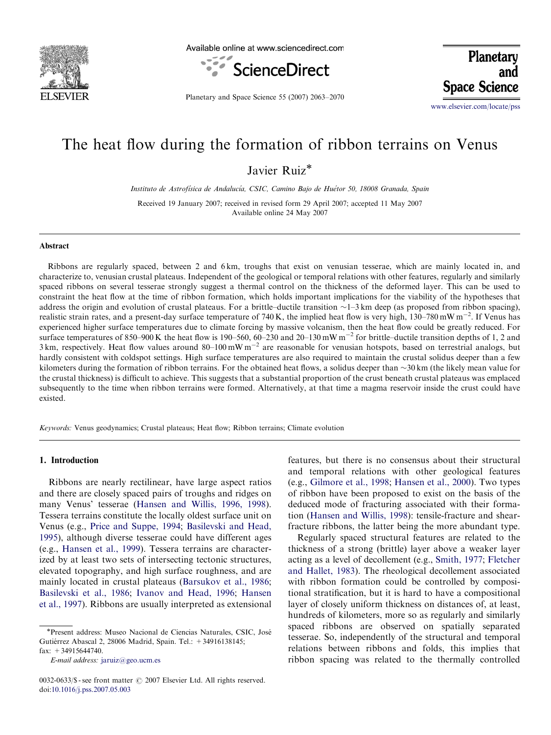# The heat flow during the formation of ribbon terrains on Venus

Javier Ruiz<sup>\*</sup>

Instituto de Astrofísica de Andalucía, CSIC, Camino Bajo de Huétor 50, 18008 Granada, Spain

Received 19 January 2007; received in revised form 29 April 2007; accepted 11 May 2007 Available online 24 May 2007

#### Abstract

Ribbons are regularly spaced, between 2 and 6 km, troughs that exist on venusian tesserae, which are mainly located in, and characterize to, venusian crustal plateaus. Independent of the geological or temporal relations with other features, regularly and similarly spaced ribbons on several tesserae strongly suggest a thermal control on the thickness of the deformed layer. This can be used to constraint the heat flow at the time of ribbon formation, which holds important implications for the viability of the hypotheses that address the origin and evolution of crustal plateaus. For a brittle–ductile transition  $\sim$  1–3 km deep (as proposed from ribbon spacing), realistic strain rates, and a present-day surface temperature of 740 K, the implied heat flow is very high,  $130-780$  mW m<sup>-2</sup>. If Venus has experienced higher surface temperatures due to climate forcing by massive volcanism, then the heat flow could be greatly reduced. For surface temperatures of 850–900 K the heat flow is 190–560,  $60-230$  and  $20-130$  mW m<sup>-2</sup> for brittle–ductile transition depths of 1, 2 and 3 km, respectively. Heat flow values around  $80-100$  mW m<sup>-2</sup> are reasonable for venusian hotspots, based on terrestrial analogs, but hardly consistent with coldspot settings. High surface temperatures are also required to maintain the crustal solidus deeper than a few kilometers during the formation of ribbon terrains. For the obtained heat flows, a solidus deeper than ~30 km (the likely mean value for the crustal thickness) is difficult to achieve. This suggests that a substantial proportion of the crust beneath crustal plateaus was emplaced subsequently to the time when ribbon terrains were formed. Alternatively, at that time a magma reservoir inside the crust could have existed.

Keywords: Venus geodynamics; Crustal plateaus; Heat flow; Ribbon terrains; Climate evolution

## 1. Introduction

r 2007 Elsevier Ltd. All rights reserved.

Ribbons are nearly rectilinear, have large aspect ratios and there are closely spaced pairs of troughs and ridges on many Venus' tesserae ([Hansen and Willis, 1996, 1998\)](#page-7-0). Tessera terrains constitute the locally oldest surface unit on Venus (e.g., [Price and Suppe, 1994](#page-7-0); [Basilevski and Head,](#page-6-0) [1995](#page-6-0)), although diverse tesserae could have different ages (e.g., [Hansen et al., 1999\)](#page-7-0). Tessera terrains are characterized by at least two sets of intersecting tectonic structures, elevated topography, and high surface roughness, and are mainly located in crustal plateaus [\(Barsukov et al., 1986;](#page-6-0) [Basilevski et al., 1986](#page-6-0); [Ivanov and Head, 1996;](#page-7-0) [Hansen](#page-7-0) [et al., 1997\)](#page-7-0). Ribbons are usually interpreted as extensional

E-mail address: [jaruiz@geo.ucm.es](mailto:jaruiz@geo.ucm.es)

features, but there is no consensus about their structural and temporal relations with other geological features (e.g., [Gilmore et al., 1998;](#page-7-0) [Hansen et al., 2000](#page-7-0)). Two types of ribbon have been proposed to exist on the basis of the deduced mode of fracturing associated with their formation [\(Hansen and Willis, 1998\)](#page-7-0): tensile-fracture and shearfracture ribbons, the latter being the more abundant type.

Regularly spaced structural features are related to the thickness of a strong (brittle) layer above a weaker layer acting as a level of decollement (e.g., [Smith, 1977;](#page-7-0) [Fletcher](#page-6-0) [and Hallet, 1983\)](#page-6-0). The rheological decollement associated with ribbon formation could be controlled by compositional stratification, but it is hard to have a compositional layer of closely uniform thickness on distances of, at least, hundreds of kilometers, more so as regularly and similarly spaced ribbons are observed on spatially separated tesserae. So, independently of the structural and temporal relations between ribbons and folds, this implies that ribbon spacing was related to the thermally controlled

<sup>\*</sup>Present address: Museo Nacional de Ciencias Naturales, CSIC, José Gutiérrez Abascal 2, 28006 Madrid, Spain. Tel.: +34916138145; fax:  $+34915644740$ .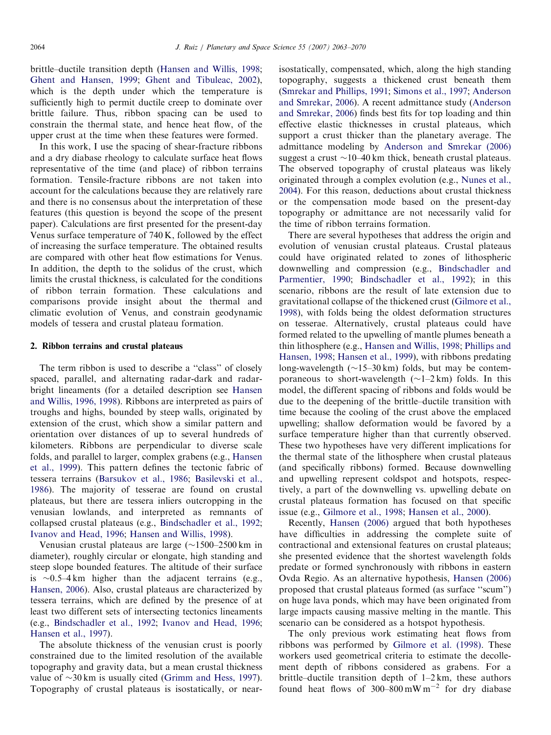brittle–ductile transition depth [\(Hansen and Willis, 1998](#page-7-0); [Ghent and Hansen, 1999;](#page-6-0) [Ghent and Tibuleac, 2002\)](#page-6-0), which is the depth under which the temperature is sufficiently high to permit ductile creep to dominate over brittle failure. Thus, ribbon spacing can be used to constrain the thermal state, and hence heat flow, of the upper crust at the time when these features were formed.

In this work, I use the spacing of shear-fracture ribbons and a dry diabase rheology to calculate surface heat flows representative of the time (and place) of ribbon terrains formation. Tensile-fracture ribbons are not taken into account for the calculations because they are relatively rare and there is no consensus about the interpretation of these features (this question is beyond the scope of the present paper). Calculations are first presented for the present-day Venus surface temperature of 740 K, followed by the effect of increasing the surface temperature. The obtained results are compared with other heat flow estimations for Venus. In addition, the depth to the solidus of the crust, which limits the crustal thickness, is calculated for the conditions of ribbon terrain formation. These calculations and comparisons provide insight about the thermal and climatic evolution of Venus, and constrain geodynamic models of tessera and crustal plateau formation.

# 2. Ribbon terrains and crustal plateaus

The term ribbon is used to describe a ''class'' of closely spaced, parallel, and alternating radar-dark and radarbright lineaments (for a detailed description see [Hansen](#page-7-0) [and Willis, 1996, 1998\)](#page-7-0). Ribbons are interpreted as pairs of troughs and highs, bounded by steep walls, originated by extension of the crust, which show a similar pattern and orientation over distances of up to several hundreds of kilometers. Ribbons are perpendicular to diverse scale folds, and parallel to larger, complex grabens (e.g., [Hansen](#page-7-0) [et al., 1999\)](#page-7-0). This pattern defines the tectonic fabric of tessera terrains ([Barsukov et al., 1986](#page-6-0); [Basilevski et al.,](#page-6-0) [1986\)](#page-6-0). The majority of tesserae are found on crustal plateaus, but there are tessera inliers outcropping in the venusian lowlands, and interpreted as remnants of collapsed crustal plateaus (e.g., [Bindschadler et al., 1992](#page-6-0); [Ivanov and Head, 1996](#page-7-0); [Hansen and Willis, 1998\)](#page-7-0).

Venusian crustal plateaus are large  $(\sim] 1500 - 2500 \text{ km}$  in diameter), roughly circular or elongate, high standing and steep slope bounded features. The altitude of their surface is  $\sim$ 0.5–4 km higher than the adjacent terrains (e.g., [Hansen, 2006](#page-7-0)). Also, crustal plateaus are characterized by tessera terrains, which are defined by the presence of at least two different sets of intersecting tectonics lineaments (e.g., [Bindschadler et al., 1992](#page-6-0); [Ivanov and Head, 1996](#page-7-0); [Hansen et al., 1997\)](#page-7-0).

The absolute thickness of the venusian crust is poorly constrained due to the limited resolution of the available topography and gravity data, but a mean crustal thickness value of  $\sim$ 30 km is usually cited ([Grimm and Hess, 1997\)](#page-7-0). Topography of crustal plateaus is isostatically, or nearisostatically, compensated, which, along the high standing topography, suggests a thickened crust beneath them [\(Smrekar and Phillips, 1991;](#page-7-0) [Simons et al., 1997;](#page-7-0) [Anderson](#page-6-0) [and Smrekar, 2006\)](#page-6-0). A recent admittance study ([Anderson](#page-6-0) [and Smrekar, 2006\)](#page-6-0) finds best fits for top loading and thin effective elastic thicknesses in crustal plateaus, which support a crust thicker than the planetary average. The admittance modeling by [Anderson and Smrekar \(2006\)](#page-6-0) suggest a crust  $\sim$ 10–40 km thick, beneath crustal plateaus. The observed topography of crustal plateaus was likely originated through a complex evolution (e.g., [Nunes et al.,](#page-7-0) [2004\)](#page-7-0). For this reason, deductions about crustal thickness or the compensation mode based on the present-day topography or admittance are not necessarily valid for the time of ribbon terrains formation.

There are several hypotheses that address the origin and evolution of venusian crustal plateaus. Crustal plateaus could have originated related to zones of lithospheric downwelling and compression (e.g., [Bindschadler and](#page-6-0) [Parmentier, 1990](#page-6-0); [Bindschadler et al., 1992](#page-6-0)); in this scenario, ribbons are the result of late extension due to gravitational collapse of the thickened crust ([Gilmore et al.,](#page-7-0) [1998\)](#page-7-0), with folds being the oldest deformation structures on tesserae. Alternatively, crustal plateaus could have formed related to the upwelling of mantle plumes beneath a thin lithosphere (e.g., [Hansen and Willis, 1998](#page-7-0); [Phillips and](#page-7-0) [Hansen, 1998;](#page-7-0) [Hansen et al., 1999\)](#page-7-0), with ribbons predating long-wavelength  $(\sim 15-30 \text{ km})$  folds, but may be contemporaneous to short-wavelength  $(\sim]$  l-2 km) folds. In this model, the different spacing of ribbons and folds would be due to the deepening of the brittle–ductile transition with time because the cooling of the crust above the emplaced upwelling; shallow deformation would be favored by a surface temperature higher than that currently observed. These two hypotheses have very different implications for the thermal state of the lithosphere when crustal plateaus (and specifically ribbons) formed. Because downwelling and upwelling represent coldspot and hotspots, respectively, a part of the downwelling vs. upwelling debate on crustal plateaus formation has focused on that specific issue (e.g., [Gilmore et al., 1998;](#page-7-0) [Hansen et al., 2000\)](#page-7-0).

Recently, [Hansen \(2006\)](#page-7-0) argued that both hypotheses have difficulties in addressing the complete suite of contractional and extensional features on crustal plateaus; she presented evidence that the shortest wavelength folds predate or formed synchronously with ribbons in eastern Ovda Regio. As an alternative hypothesis, [Hansen \(2006\)](#page-7-0) proposed that crustal plateaus formed (as surface ''scum'') on huge lava ponds, which may have been originated from large impacts causing massive melting in the mantle. This scenario can be considered as a hotspot hypothesis.

The only previous work estimating heat flows from ribbons was performed by [Gilmore et al. \(1998\)](#page-7-0). These workers used geometrical criteria to estimate the decollement depth of ribbons considered as grabens. For a brittle–ductile transition depth of 1–2 km, these authors found heat flows of  $300-800 \text{ mW m}^{-2}$  for dry diabase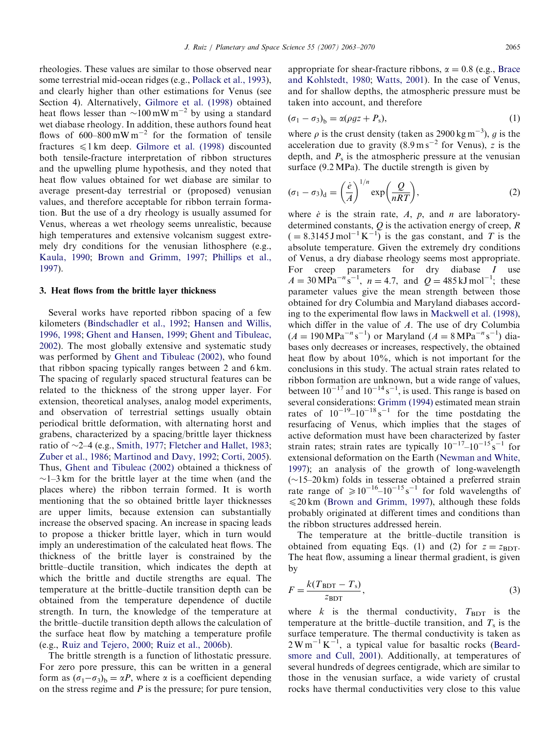rheologies. These values are similar to those observed near some terrestrial mid-ocean ridges (e.g., [Pollack et al., 1993\)](#page-7-0), and clearly higher than other estimations for Venus (see Section 4). Alternatively, [Gilmore et al. \(1998\)](#page-7-0) obtained heat flows lesser than  $\sim$ 100 mW m<sup>-2</sup> by using a standard wet diabase rheology. In addition, these authors found heat flows of  $600-800 \text{ mW m}^{-2}$  for the formation of tensile fractures  $\leq 1$  km deep. [Gilmore et al. \(1998\)](#page-7-0) discounted both tensile-fracture interpretation of ribbon structures and the upwelling plume hypothesis, and they noted that heat flow values obtained for wet diabase are similar to average present-day terrestrial or (proposed) venusian values, and therefore acceptable for ribbon terrain formation. But the use of a dry rheology is usually assumed for Venus, whereas a wet rheology seems unrealistic, because high temperatures and extensive volcanism suggest extremely dry conditions for the venusian lithosphere (e.g., [Kaula, 1990](#page-7-0); [Brown and Grimm, 1997](#page-6-0); [Phillips et al.,](#page-7-0) [1997](#page-7-0)).

#### 3. Heat flows from the brittle layer thickness

Several works have reported ribbon spacing of a few kilometers [\(Bindschadler et al., 1992;](#page-6-0) [Hansen and Willis,](#page-7-0) [1996, 1998;](#page-7-0) [Ghent and Hansen, 1999;](#page-6-0) [Ghent and Tibuleac,](#page-6-0) [2002](#page-6-0)). The most globally extensive and systematic study was performed by [Ghent and Tibuleac \(2002\)](#page-6-0), who found that ribbon spacing typically ranges between 2 and 6 km. The spacing of regularly spaced structural features can be related to the thickness of the strong upper layer. For extension, theoretical analyses, analog model experiments, and observation of terrestrial settings usually obtain periodical brittle deformation, with alternating horst and grabens, characterized by a spacing/brittle layer thickness ratio of  $\sim$ 2–4 (e.g., [Smith, 1977;](#page-7-0) [Fletcher and Hallet, 1983;](#page-6-0) [Zuber et al., 1986](#page-7-0); [Martinod and Davy, 1992](#page-7-0); [Corti, 2005\)](#page-6-0). Thus, [Ghent and Tibuleac \(2002\)](#page-6-0) obtained a thickness of  $\sim$ 1–3 km for the brittle layer at the time when (and the places where) the ribbon terrain formed. It is worth mentioning that the so obtained brittle layer thicknesses are upper limits, because extension can substantially increase the observed spacing. An increase in spacing leads to propose a thicker brittle layer, which in turn would imply an underestimation of the calculated heat flows. The thickness of the brittle layer is constrained by the brittle–ductile transition, which indicates the depth at which the brittle and ductile strengths are equal. The temperature at the brittle–ductile transition depth can be obtained from the temperature dependence of ductile strength. In turn, the knowledge of the temperature at the brittle–ductile transition depth allows the calculation of the surface heat flow by matching a temperature profile (e.g., [Ruiz and Tejero, 2000;](#page-7-0) [Ruiz et al., 2006b\)](#page-7-0).

The brittle strength is a function of lithostatic pressure. For zero pore pressure, this can be written in a general form as  $(\sigma_1-\sigma_3)_b = \alpha P$ , where  $\alpha$  is a coefficient depending on the stress regime and  $P$  is the pressure; for pure tension, appropriate for shear-fracture ribbons,  $\alpha = 0.8$  (e.g., [Brace](#page-6-0) [and Kohlstedt, 1980](#page-6-0); [Watts, 2001\)](#page-7-0). In the case of Venus, and for shallow depths, the atmospheric pressure must be taken into account, and therefore

$$
(\sigma_1 - \sigma_3)_b = \alpha(\rho gz + P_s),\tag{1}
$$

where  $\rho$  is the crust density (taken as 2900 kg m<sup>-3</sup>), g is the acceleration due to gravity  $(8.9 \text{ m s}^{-2}$  for Venus), z is the depth, and  $P_s$  is the atmospheric pressure at the venusian surface (9.2 MPa). The ductile strength is given by

$$
(\sigma_1 - \sigma_3)_d = \left(\frac{\dot{e}}{A}\right)^{1/n} \exp\left(\frac{Q}{nRT}\right),\tag{2}
$$

where  $\dot{e}$  is the strain rate, A, p, and n are laboratorydetermined constants,  $Q$  is the activation energy of creep,  $R$  $( = 8.3145 \text{ J mol}^{-1} \text{ K}^{-1})$  is the gas constant, and T is the absolute temperature. Given the extremely dry conditions of Venus, a dry diabase rheology seems most appropriate. For creep parameters for dry diabase I use  $A = 30 \text{ MPa}^{-n} \text{s}^{-1}$ ,  $n = 4.7$ , and  $Q = 485 \text{ kJ} \text{ mol}^{-1}$ ; these parameter values give the mean strength between those obtained for dry Columbia and Maryland diabases according to the experimental flow laws in [Mackwell et al. \(1998\),](#page-7-0) which differ in the value of A. The use of dry Columbia  $(A = 190 \text{ MPa}^{-n} \text{ s}^{-1})$  or Maryland  $(A = 8 \text{ MPa}^{-n} \text{ s}^{-1})$  diabases only decreases or increases, respectively, the obtained heat flow by about 10%, which is not important for the conclusions in this study. The actual strain rates related to ribbon formation are unknown, but a wide range of values, between  $10^{-17}$  and  $10^{-14}$  s<sup>-1</sup>, is used. This range is based on several considerations: [Grimm \(1994\)](#page-7-0) estimated mean strain rates of  $10^{-19}$ – $10^{-18}$  s<sup>-1</sup> for the time postdating the resurfacing of Venus, which implies that the stages of active deformation must have been characterized by faster strain rates; strain rates are typically  $10^{-17} - 10^{-15}$  s<sup>-1</sup> for extensional deformation on the Earth [\(Newman and White,](#page-7-0) [1997](#page-7-0)); an analysis of the growth of long-wavelength  $(\sim] 15-20 \text{ km})$  folds in tesserae obtained a preferred strain rate range of  $\geq 10^{-16}$ – $10^{-15}$  s<sup>-1</sup> for fold wavelengths of  $\leq$ 20 km ([Brown and Grimm, 1997](#page-6-0)), although these folds probably originated at different times and conditions than the ribbon structures addressed herein.

The temperature at the brittle–ductile transition is obtained from equating Eqs. (1) and (2) for  $z = z<sub>BDT</sub>$ . The heat flow, assuming a linear thermal gradient, is given by

$$
F = \frac{k(T_{\text{BDT}} - T_s)}{z_{\text{BDT}}},\tag{3}
$$

where k is the thermal conductivity,  $T_{\text{BDT}}$  is the temperature at the brittle–ductile transition, and  $T<sub>s</sub>$  is the surface temperature. The thermal conductivity is taken as  $2 \text{ W m}^{-1} \text{ K}^{-1}$ , a typical value for basaltic rocks ([Beard](#page-6-0)[smore and Cull, 2001](#page-6-0)). Additionally, at temperatures of several hundreds of degrees centigrade, which are similar to those in the venusian surface, a wide variety of crustal rocks have thermal conductivities very close to this value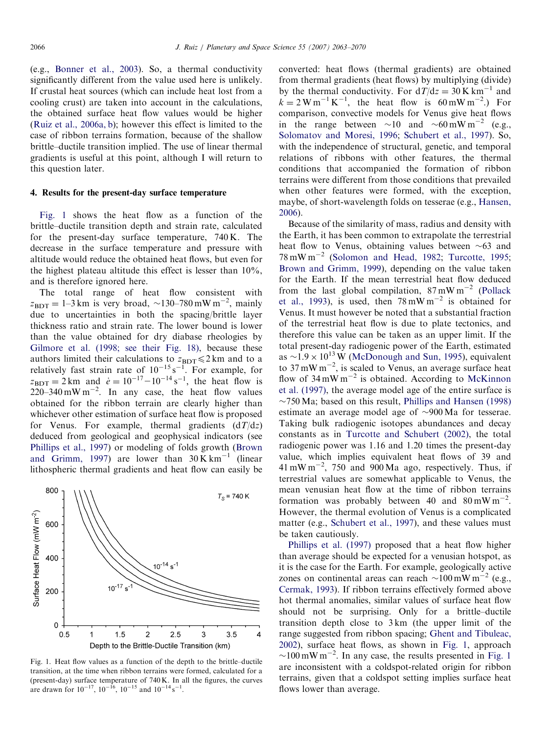<span id="page-3-0"></span>(e.g., [Bonner et al., 2003](#page-6-0)). So, a thermal conductivity significantly different from the value used here is unlikely. If crustal heat sources (which can include heat lost from a cooling crust) are taken into account in the calculations, the obtained surface heat flow values would be higher [\(Ruiz et al., 2006a, b\)](#page-7-0); however this effect is limited to the case of ribbon terrains formation, because of the shallow brittle–ductile transition implied. The use of linear thermal gradients is useful at this point, although I will return to this question later.

#### 4. Results for the present-day surface temperature

Fig. 1 shows the heat flow as a function of the brittle–ductile transition depth and strain rate, calculated for the present-day surface temperature, 740 K. The decrease in the surface temperature and pressure with altitude would reduce the obtained heat flows, but even for the highest plateau altitude this effect is lesser than 10%, and is therefore ignored here.

The total range of heat flow consistent with  $z_{\text{BDT}} = 1-3 \text{ km}$  is very broad,  $\sim 130-780 \text{ mW m}^{-2}$ , mainly due to uncertainties in both the spacing/brittle layer thickness ratio and strain rate. The lower bound is lower than the value obtained for dry diabase rheologies by [Gilmore et al. \(1998; see their Fig. 18\)](#page-7-0), because these authors limited their calculations to  $z_{\text{BDT}} \leq 2 \text{ km}$  and to a relatively fast strain rate of  $10^{-15}$  s<sup>-1</sup>. For example, for  $z_{\text{BDT}} = 2 \text{ km}$  and  $\dot{e} = 10^{-17} - 10^{-14} \text{ s}^{-1}$ , the heat flow is  $220-340 \text{ mW m}^{-2}$ . In any case, the heat flow values obtained for the ribbon terrain are clearly higher than whichever other estimation of surface heat flow is proposed for Venus. For example, thermal gradients  $(dT/dz)$ deduced from geological and geophysical indicators (see [Phillips et al., 1997\)](#page-7-0) or modeling of folds growth [\(Brown](#page-6-0) [and Grimm, 1997\)](#page-6-0) are lower than  $30 \text{ K km}^{-1}$  (linear lithospheric thermal gradients and heat flow can easily be



Fig. 1. Heat flow values as a function of the depth to the brittle–ductile transition, at the time when ribbon terrains were formed, calculated for a (present-day) surface temperature of 740 K. In all the figures, the curves are drawn for  $10^{-17}$ ,  $10^{-16}$ ,  $10^{-15}$  and  $10^{-14}$  s<sup>-1</sup>.

converted: heat flows (thermal gradients) are obtained from thermal gradients (heat flows) by multiplying (divide) by the thermal conductivity. For  $dT/dz = 30$  K km<sup>-1</sup> and  $k = 2 \text{ W m}^{-1} \text{ K}^{-1}$ , the heat flow is 60 mW m<sup>-2</sup>.) For comparison, convective models for Venus give heat flows in the range between  $\sim 10$  and  $\sim 60 \text{ mW m}^{-2}$  (e.g., [Solomatov and Moresi, 1996;](#page-7-0) [Schubert et al., 1997\)](#page-7-0). So, with the independence of structural, genetic, and temporal relations of ribbons with other features, the thermal conditions that accompanied the formation of ribbon terrains were different from those conditions that prevailed when other features were formed, with the exception, maybe, of short-wavelength folds on tesserae (e.g., [Hansen,](#page-7-0) [2006\)](#page-7-0).

Because of the similarity of mass, radius and density with the Earth, it has been common to extrapolate the terrestrial heat flow to Venus, obtaining values between  $\sim 63$  and  $78 \text{ mW m}^{-2}$  ([Solomon and Head, 1982;](#page-7-0) [Turcotte, 1995](#page-7-0); [Brown and Grimm, 1999](#page-6-0)), depending on the value taken for the Earth. If the mean terrestrial heat flow deduced from the last global compilation,  $87 \text{ mW m}^{-2}$  ([Pollack](#page-7-0) [et al., 1993\)](#page-7-0), is used, then  $78 \text{ mW m}^{-2}$  is obtained for Venus. It must however be noted that a substantial fraction of the terrestrial heat flow is due to plate tectonics, and therefore this value can be taken as an upper limit. If the total present-day radiogenic power of the Earth, estimated as  $\sim$ 1.9  $\times$  10<sup>13</sup> W [\(McDonough and Sun, 1995\)](#page-7-0), equivalent to  $37 \text{ mW m}^{-2}$ , is scaled to Venus, an average surface heat flow of  $34 \text{ mW m}^{-2}$  is obtained. According to [McKinnon](#page-7-0) [et al. \(1997\),](#page-7-0) the average model age of the entire surface is  $\sim$ 750 Ma; based on this result, [Phillips and Hansen \(1998\)](#page-7-0) estimate an average model age of  $\sim$ 900 Ma for tesserae. Taking bulk radiogenic isotopes abundances and decay constants as in [Turcotte and Schubert \(2002\),](#page-7-0) the total radiogenic power was 1.16 and 1.20 times the present-day value, which implies equivalent heat flows of 39 and  $41 \text{ mW m}^{-2}$ , 750 and 900 Ma ago, respectively. Thus, if terrestrial values are somewhat applicable to Venus, the mean venusian heat flow at the time of ribbon terrains formation was probably between 40 and  $80 \text{ mW m}^{-2}$ . However, the thermal evolution of Venus is a complicated matter (e.g., [Schubert et al., 1997](#page-7-0)), and these values must be taken cautiously.

[Phillips et al. \(1997\)](#page-7-0) proposed that a heat flow higher than average should be expected for a venusian hotspot, as it is the case for the Earth. For example, geologically active zones on continental areas can reach  $\sim$ 100 mW m<sup>-2</sup> (e.g., [Cermak, 1993](#page-6-0)). If ribbon terrains effectively formed above hot thermal anomalies, similar values of surface heat flow should not be surprising. Only for a brittle–ductile transition depth close to 3 km (the upper limit of the range suggested from ribbon spacing; [Ghent and Tibuleac,](#page-6-0) [2002](#page-6-0)), surface heat flows, as shown in Fig. 1, approach  $\sim$ 100 mW m<sup>-2</sup>. In any case, the results presented in Fig. 1 are inconsistent with a coldspot-related origin for ribbon terrains, given that a coldspot setting implies surface heat flows lower than average.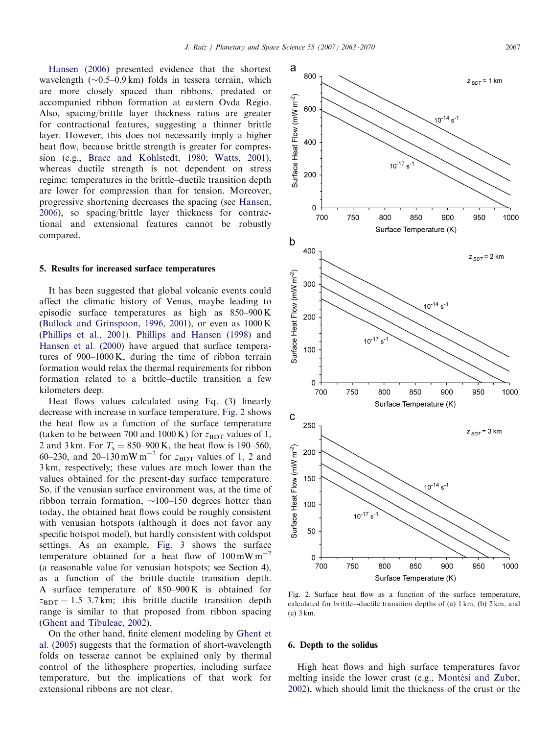[Hansen \(2006\)](#page-7-0) presented evidence that the shortest wavelength  $(\sim 0.5 - 0.9 \text{ km})$  folds in tessera terrain, which are more closely spaced than ribbons, predated or accompanied ribbon formation at eastern Ovda Regio. Also, spacing/brittle layer thickness ratios are greater for contractional features, suggesting a thinner brittle layer. However, this does not necessarily imply a higher heat flow, because brittle strength is greater for compression (e.g., [Brace and Kohlstedt, 1980](#page-6-0); [Watts, 2001\)](#page-7-0), whereas ductile strength is not dependent on stress regime: temperatures in the brittle–ductile transition depth are lower for compression than for tension. Moreover, progressive shortening decreases the spacing (see [Hansen,](#page-7-0) [2006](#page-7-0)), so spacing/brittle layer thickness for contractional and extensional features cannot be robustly compared.

## 5. Results for increased surface temperatures

It has been suggested that global volcanic events could affect the climatic history of Venus, maybe leading to episodic surface temperatures as high as 850–900 K ([Bullock and Grinspoon, 1996, 2001](#page-6-0)), or even as 1000 K ([Phillips et al., 2001\)](#page-7-0). [Phillips and Hansen \(1998\)](#page-7-0) and [Hansen et al. \(2000\)](#page-7-0) have argued that surface temperatures of 900–1000 K, during the time of ribbon terrain formation would relax the thermal requirements for ribbon formation related to a brittle–ductile transition a few kilometers deep.

Heat flows values calculated using Eq. (3) linearly decrease with increase in surface temperature. Fig. 2 shows the heat flow as a function of the surface temperature (taken to be between 700 and 1000 K) for  $z_{\text{BDT}}$  values of 1, 2 and 3 km. For  $T_s = 850 - 900$  K, the heat flow is 190–560, 60–230, and 20–130 mW m<sup>-2</sup> for  $z_{\text{BDT}}$  values of 1, 2 and 3 km, respectively; these values are much lower than the values obtained for the present-day surface temperature. So, if the venusian surface environment was, at the time of ribbon terrain formation,  $\sim$ 100–150 degrees hotter than today, the obtained heat flows could be roughly consistent with venusian hotspots (although it does not favor any specific hotspot model), but hardly consistent with coldspot settings. As an example, [Fig. 3](#page-5-0) shows the surface temperature obtained for a heat flow of  $100 \text{ mW m}^{-2}$ (a reasonable value for venusian hotspots; see Section 4), as a function of the brittle–ductile transition depth. A surface temperature of 850–900 K is obtained for  $z_{\text{BDT}} = 1.5-3.7 \text{ km}$ ; this brittle–ductile transition depth range is similar to that proposed from ribbon spacing ([Ghent and Tibuleac, 2002](#page-6-0)).

On the other hand, finite element modeling by [Ghent et](#page-6-0) [al. \(2005\)](#page-6-0) suggests that the formation of short-wavelength folds on tesserae cannot be explained only by thermal control of the lithosphere properties, including surface temperature, but the implications of that work for extensional ribbons are not clear.



Fig. 2. Surface heat flow as a function of the surface temperature, calculated for brittle–-ductile transition depths of (a) 1 km, (b) 2 km, and (c) 3 km.

#### 6. Depth to the solidus

High heat flows and high surface temperatures favor melting inside the lower crust (e.g., Montési and Zuber, [2002](#page-7-0)), which should limit the thickness of the crust or the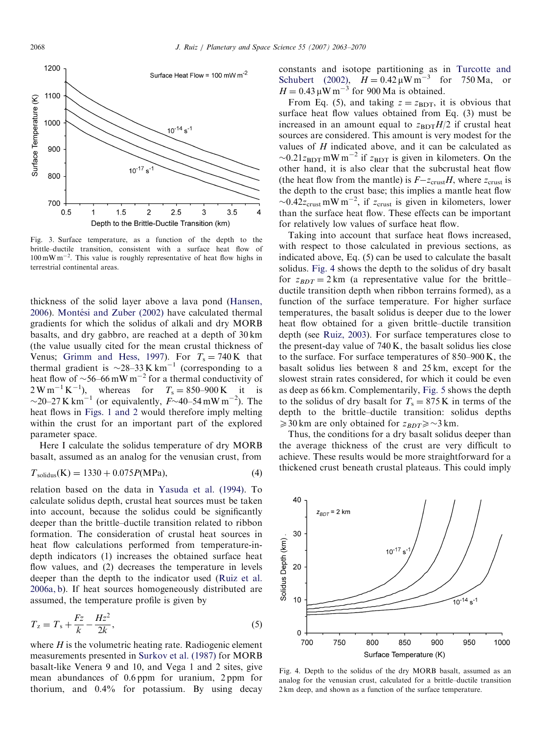<span id="page-5-0"></span>

Fig. 3. Surface temperature, as a function of the depth to the brittle–ductile transition, consistent with a surface heat flow of  $100 \text{ mW m}^{-2}$ . This value is roughly representative of heat flow highs in terrestrial continental areas.

thickness of the solid layer above a lava pond ([Hansen,](#page-7-0) [2006\)](#page-7-0). Montési and Zuber (2002) have calculated thermal gradients for which the solidus of alkali and dry MORB basalts, and dry gabbro, are reached at a depth of 30 km (the value usually cited for the mean crustal thickness of Venus; [Grimm and Hess, 1997\)](#page-7-0). For  $T_s = 740 \text{ K}$  that thermal gradient is  $\sim$ 28–33 K km<sup>-1</sup> (corresponding to a heat flow of  $\sim$ 56–66 mW m<sup>-2</sup> for a thermal conductivity of  $2 \text{ W m}^{-1} \text{ K}^{-1}$ , whereas for  $T_s = 850 - 900 \text{ K}$  it is ~20–27 K km<sup>-1</sup> (or equivalently,  $F$  ~40–54 mW m<sup>-2</sup>). The heat flows in [Figs. 1 and 2](#page-3-0) would therefore imply melting within the crust for an important part of the explored parameter space.

Here I calculate the solidus temperature of dry MORB basalt, assumed as an analog for the venusian crust, from

$$
T_{\text{solidus}}(\mathbf{K}) = 1330 + 0.075P(\mathbf{MPa}),\tag{4}
$$

relation based on the data in [Yasuda et al. \(1994\).](#page-7-0) To calculate solidus depth, crustal heat sources must be taken into account, because the solidus could be significantly deeper than the brittle–ductile transition related to ribbon formation. The consideration of crustal heat sources in heat flow calculations performed from temperature-indepth indicators (1) increases the obtained surface heat flow values, and (2) decreases the temperature in levels deeper than the depth to the indicator used [\(Ruiz et al.](#page-7-0) [2006a, b\)](#page-7-0). If heat sources homogeneously distributed are assumed, the temperature profile is given by

$$
T_z = T_s + \frac{Fz}{k} - \frac{Hz^2}{2k},
$$
\n(5)

where  $H$  is the volumetric heating rate. Radiogenic element measurements presented in [Surkov et al. \(1987\)](#page-7-0) for MORB basalt-like Venera 9 and 10, and Vega 1 and 2 sites, give mean abundances of 0.6 ppm for uranium, 2 ppm for thorium, and 0.4% for potassium. By using decay

constants and isotope partitioning as in [Turcotte and](#page-7-0) [Schubert \(2002\),](#page-7-0)  $H = 0.42 \mu W \text{ m}^{-3}$  for 750 Ma, or  $H = 0.43 \,\mathrm{\upmu W \, m}^{-3}$  for 900 Ma is obtained.

From Eq. (5), and taking  $z = z_{\text{BDT}}$ , it is obvious that surface heat flow values obtained from Eq. (3) must be increased in an amount equal to  $z_{\text{BDT}}H/2$  if crustal heat sources are considered. This amount is very modest for the values of  $H$  indicated above, and it can be calculated as  $\sim 0.21 z_{\text{BDT}}$  mW m<sup>-2</sup> if  $z_{\text{BDT}}$  is given in kilometers. On the other hand, it is also clear that the subcrustal heat flow (the heat flow from the mantle) is  $F-z_{\text{crust}}H$ , where  $z_{\text{crust}}$  is the depth to the crust base; this implies a mantle heat flow ~0.42 $\bar{z}_{\text{crust}}$  mW m<sup>-2</sup>, if  $z_{\text{crust}}$  is given in kilometers, lower than the surface heat flow. These effects can be important for relatively low values of surface heat flow.

Taking into account that surface heat flows increased, with respect to those calculated in previous sections, as indicated above, Eq. (5) can be used to calculate the basalt solidus. Fig. 4 shows the depth to the solidus of dry basalt for  $z_{BDT} = 2 \text{ km}$  (a representative value for the brittle– ductile transition depth when ribbon terrains formed), as a function of the surface temperature. For higher surface temperatures, the basalt solidus is deeper due to the lower heat flow obtained for a given brittle–ductile transition depth (see [Ruiz, 2003](#page-7-0)). For surface temperatures close to the present-day value of 740 K, the basalt solidus lies close to the surface. For surface temperatures of 850–900 K, the basalt solidus lies between 8 and 25 km, except for the slowest strain rates considered, for which it could be even as deep as 66 km. Complementarily, [Fig. 5](#page-6-0) shows the depth to the solidus of dry basalt for  $T_s = 875 \text{ K}$  in terms of the depth to the brittle–ductile transition: solidus depths  $\geq 30$  km are only obtained for  $z_{BDT} \geq 3$  km.

Thus, the conditions for a dry basalt solidus deeper than the average thickness of the crust are very difficult to achieve. These results would be more straightforward for a thickened crust beneath crustal plateaus. This could imply



Fig. 4. Depth to the solidus of the dry MORB basalt, assumed as an analog for the venusian crust, calculated for a brittle–ductile transition 2 km deep, and shown as a function of the surface temperature.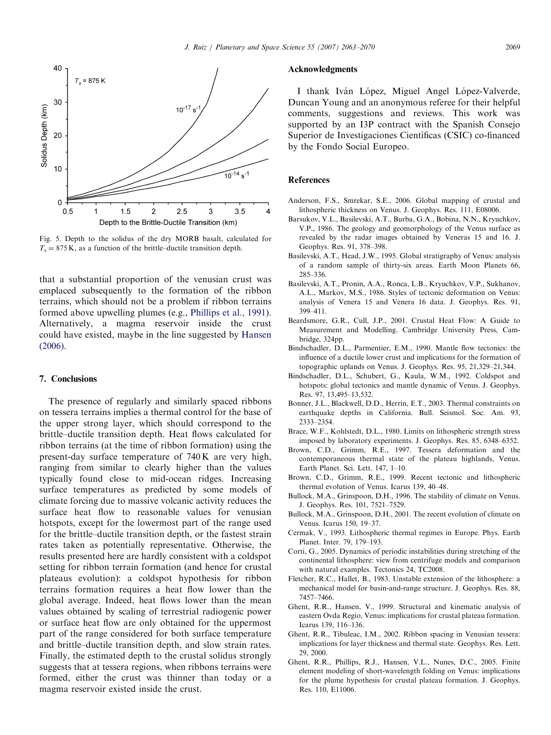<span id="page-6-0"></span>

Fig. 5. Depth to the solidus of the dry MORB basalt, calculated for  $T_s = 875$  K, as a function of the brittle–ductile transition depth.

that a substantial proportion of the venusian crust was emplaced subsequently to the formation of the ribbon terrains, which should not be a problem if ribbon terrains formed above upwelling plumes (e.g., [Phillips et al., 1991\)](#page-7-0). Alternatively, a magma reservoir inside the crust could have existed, maybe in the line suggested by [Hansen](#page-7-0) [\(2006\)](#page-7-0).

## 7. Conclusions

The presence of regularly and similarly spaced ribbons on tessera terrains implies a thermal control for the base of the upper strong layer, which should correspond to the brittle–ductile transition depth. Heat flows calculated for ribbon terrains (at the time of ribbon formation) using the present-day surface temperature of 740 K are very high, ranging from similar to clearly higher than the values typically found close to mid-ocean ridges. Increasing surface temperatures as predicted by some models of climate forcing due to massive volcanic activity reduces the surface heat flow to reasonable values for venusian hotspots, except for the lowermost part of the range used for the brittle–ductile transition depth, or the fastest strain rates taken as potentially representative. Otherwise, the results presented here are hardly consistent with a coldspot setting for ribbon terrain formation (and hence for crustal plateaus evolution): a coldspot hypothesis for ribbon terrains formation requires a heat flow lower than the global average. Indeed, heat flows lower than the mean values obtained by scaling of terrestrial radiogenic power or surface heat flow are only obtained for the uppermost part of the range considered for both surface temperature and brittle–ductile transition depth, and slow strain rates. Finally, the estimated depth to the crustal solidus strongly suggests that at tessera regions, when ribbons terrains were formed, either the crust was thinner than today or a magma reservoir existed inside the crust.

# Acknowledgments

I thank Iván López, Miguel Angel López-Valverde, Duncan Young and an anonymous referee for their helpful comments, suggestions and reviews. This work was supported by an I3P contract with the Spanish Consejo Superior de Investigaciones Científicas (CSIC) co-financed by the Fondo Social Europeo.

## References

- Anderson, F.S., Smrekar, S.E., 2006. Global mapping of crustal and lithospheric thickness on Venus. J. Geophys. Res. 111, E08006.
- Barsukov, V.L., Basilevski, A.T., Burba, G.A., Bobina, N.N., Kryuchkov, V.P., 1986. The geology and geomorphology of the Venus surface as revealed by the radar images obtained by Veneras 15 and 16. J. Geophys. Res. 91, 378–398.
- Basilevski, A.T., Head, J.W., 1995. Global stratigraphy of Venus: analysis of a random sample of thirty-six areas. Earth Moon Planets 66, 285–336.
- Basilevski, A.T., Pronin, A.A., Ronca, L.B., Kryuchkov, V.P., Sukhanov, A.L., Markov, M.S., 1986. Styles of tectonic deformation on Venus: analysis of Venera 15 and Venera 16 data. J. Geophys. Res. 91, 399–411.
- Beardsmore, G.R., Cull, J.P., 2001. Crustal Heat Flow: A Guide to Measurement and Modelling. Cambridge University Press, Cambridge, 324pp.
- Bindschadler, D.L., Parmentier, E.M., 1990. Mantle flow tectonics: the influence of a ductile lower crust and implications for the formation of topographic uplands on Venus. J. Geophys. Res. 95, 21,329–21,344.
- Bindschadler, D.L., Schubert, G., Kaula, W.M., 1992. Coldspot and hotspots: global tectonics and mantle dynamic of Venus. J. Geophys. Res. 97, 13,495–13,532.
- Bonner, J.L., Blackwell, D.D., Herrin, E.T., 2003. Thermal constraints on earthquake depths in California. Bull. Seismol. Soc. Am. 93, 2333–2354.
- Brace, W.F., Kohlstedt, D.L., 1980. Limits on lithospheric strength stress imposed by laboratory experiments. J. Geophys. Res. 85, 6348–6352.
- Brown, C.D., Grimm, R.E., 1997. Tessera deformation and the contemporaneous thermal state of the plateau highlands, Venus. Earth Planet. Sci. Lett. 147, 1–10.
- Brown, C.D., Grimm, R.E., 1999. Recent tectonic and lithospheric thermal evolution of Venus. Icarus 139, 40–48.
- Bullock, M.A., Grinspoon, D.H., 1996. The stability of climate on Venus. J. Geophys. Res. 101, 7521–7529.
- Bullock, M.A., Grinspoon, D.H., 2001. The recent evolution of climate on Venus. Icarus 150, 19–37.
- Cermak, V., 1993. Lithospheric thermal regimes in Europe. Phys. Earth Planet. Inter. 79, 179–193.
- Corti, G., 2005. Dynamics of periodic instabilities during stretching of the continental lithosphere: view from centrifuge models and comparison with natural examples. Tectonics 24, TC2008.
- Fletcher, R.C., Hallet, B., 1983. Unstable extension of the lithosphere: a mechanical model for basin-and-range structure. J. Geophys. Res. 88, 7457–7466.
- Ghent, R.R., Hansen, V., 1999. Structural and kinematic analysis of eastern Ovda Regio, Venus: implications for crustal plateau formation. Icarus 139, 116–136.
- Ghent, R.R., Tibuleac, I.M., 2002. Ribbon spacing in Venusian tessera: implications for layer thickness and thermal state. Geophys. Res. Lett. 29, 2000.
- Ghent, R.R., Phillips, R.J., Hansen, V.L., Nunes, D.C., 2005. Finite element modeling of short-wavelength folding on Venus: implications for the plume hypothesis for crustal plateau formation. J. Geophys. Res. 110, E11006.